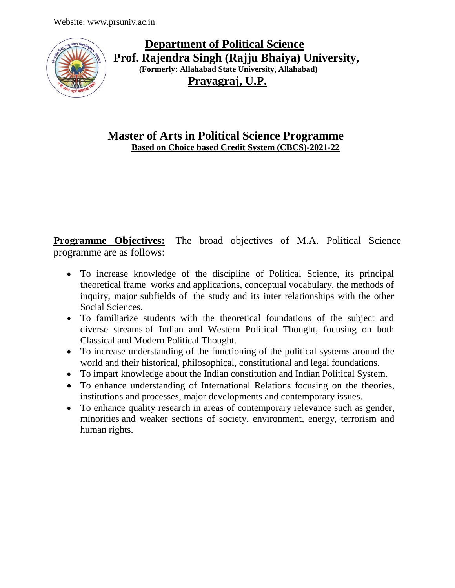

 **Department of Political Science Prof. Rajendra Singh (Rajju Bhaiya) University, (Formerly: Allahabad State University, Allahabad) Prayagraj, U.P.**

**Master of Arts in Political Science Programme Based on Choice based Credit System (CBCS)-2021-22**

**Programme Objectives:** The broad objectives of M.A. Political Science programme are as follows:

- To increase knowledge of the discipline of Political Science, its principal theoretical frame works and applications, conceptual vocabulary, the methods of inquiry, major subfields of the study and its inter relationships with the other Social Sciences.
- To familiarize students with the theoretical foundations of the subject and diverse streams of Indian and Western Political Thought, focusing on both Classical and Modern Political Thought.
- To increase understanding of the functioning of the political systems around the world and their historical, philosophical, constitutional and legal foundations.
- To impart knowledge about the Indian constitution and Indian Political System.
- To enhance understanding of International Relations focusing on the theories, institutions and processes, major developments and contemporary issues.
- To enhance quality research in areas of contemporary relevance such as gender, minorities and weaker sections of society, environment, energy, terrorism and human rights.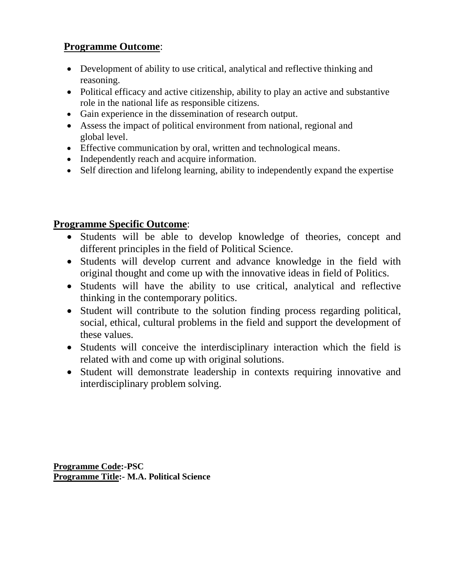# **Programme Outcome**:

- Development of ability to use critical, analytical and reflective thinking and reasoning.
- Political efficacy and active citizenship, ability to play an active and substantive role in the national life as responsible citizens.
- Gain experience in the dissemination of research output.
- Assess the impact of political environment from national, regional and global level.
- Effective communication by oral, written and technological means.
- Independently reach and acquire information.
- Self direction and lifelong learning, ability to independently expand the expertise

# **Programme Specific Outcome**:

- Students will be able to develop knowledge of theories, concept and different principles in the field of Political Science.
- Students will develop current and advance knowledge in the field with original thought and come up with the innovative ideas in field of Politics.
- Students will have the ability to use critical, analytical and reflective thinking in the contemporary politics.
- Student will contribute to the solution finding process regarding political, social, ethical, cultural problems in the field and support the development of these values.
- Students will conceive the interdisciplinary interaction which the field is related with and come up with original solutions.
- Student will demonstrate leadership in contexts requiring innovative and interdisciplinary problem solving.

**Programme Code:-PSC Programme Title:- M.A. Political Science**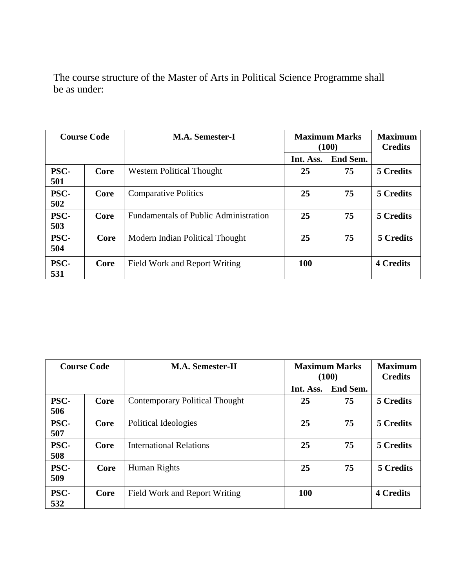The course structure of the Master of Arts in Political Science Programme shall be as under:

| <b>Course Code</b> |      | <b>M.A. Semester-I</b>                       | <b>Maximum Marks</b><br>(100) |          | <b>Maximum</b><br><b>Credits</b> |
|--------------------|------|----------------------------------------------|-------------------------------|----------|----------------------------------|
|                    |      |                                              | Int. Ass.                     | End Sem. |                                  |
| PSC-<br>501        | Core | <b>Western Political Thought</b>             | 25                            | 75       | 5 Credits                        |
| <b>PSC-</b><br>502 | Core | <b>Comparative Politics</b>                  | 25                            | 75       | <b>5 Credits</b>                 |
| <b>PSC-</b><br>503 | Core | <b>Fundamentals of Public Administration</b> | 25                            | 75       | 5 Credits                        |
| <b>PSC-</b><br>504 | Core | Modern Indian Political Thought              | 25                            | 75       | 5 Credits                        |
| <b>PSC-</b><br>531 | Core | Field Work and Report Writing                | <b>100</b>                    |          | <b>4 Credits</b>                 |

| <b>Course Code</b> |      | <b>M.A. Semester-II</b>               | <b>Maximum Marks</b><br>(100) |          | <b>Maximum</b><br><b>Credits</b> |
|--------------------|------|---------------------------------------|-------------------------------|----------|----------------------------------|
|                    |      |                                       | Int. Ass.                     | End Sem. |                                  |
| <b>PSC-</b><br>506 | Core | <b>Contemporary Political Thought</b> | 25                            | 75       | 5 Credits                        |
| <b>PSC-</b><br>507 | Core | Political Ideologies                  | 25                            | 75       | 5 Credits                        |
| <b>PSC-</b><br>508 | Core | <b>International Relations</b>        | 25                            | 75       | 5 Credits                        |
| <b>PSC-</b><br>509 | Core | Human Rights                          | 25                            | 75       | 5 Credits                        |
| <b>PSC-</b><br>532 | Core | Field Work and Report Writing         | 100                           |          | <b>4 Credits</b>                 |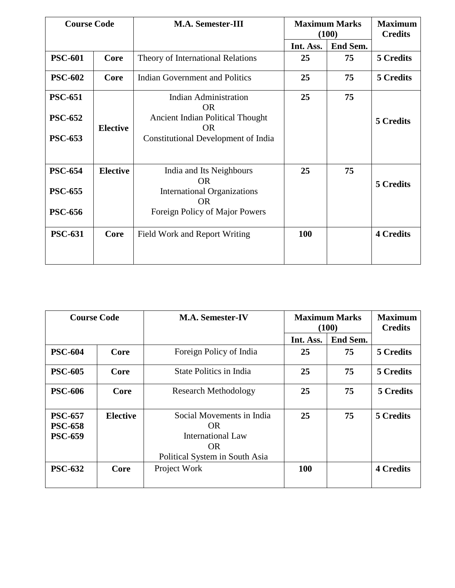| <b>Course Code</b> |                 | <b>M.A. Semester-III</b>                        | <b>Maximum Marks</b><br>(100) |          | <b>Maximum</b><br><b>Credits</b> |
|--------------------|-----------------|-------------------------------------------------|-------------------------------|----------|----------------------------------|
|                    |                 |                                                 | Int. Ass.                     | End Sem. |                                  |
| <b>PSC-601</b>     | <b>Core</b>     | Theory of International Relations               | 25                            | 75       | 5 Credits                        |
| <b>PSC-602</b>     | Core            | <b>Indian Government and Politics</b>           | 25                            | 75       | 5 Credits                        |
| <b>PSC-651</b>     |                 | <b>Indian Administration</b><br><b>OR</b>       | 25                            | 75       |                                  |
| <b>PSC-652</b>     | <b>Elective</b> | Ancient Indian Political Thought<br><b>OR</b>   |                               |          | 5 Credits                        |
| <b>PSC-653</b>     |                 | Constitutional Development of India             |                               |          |                                  |
| <b>PSC-654</b>     | <b>Elective</b> | India and Its Neighbours<br><b>OR</b>           | 25                            | 75       | 5 Credits                        |
| <b>PSC-655</b>     |                 | <b>International Organizations</b><br><b>OR</b> |                               |          |                                  |
| <b>PSC-656</b>     |                 | Foreign Policy of Major Powers                  |                               |          |                                  |
| <b>PSC-631</b>     | Core            | Field Work and Report Writing                   | 100                           |          | <b>4 Credits</b>                 |

| <b>Course Code</b>                                 |                 | <b>M.A. Semester-IV</b>                                                                               | <b>Maximum Marks</b><br>(100) |          | <b>Maximum</b><br><b>Credits</b> |
|----------------------------------------------------|-----------------|-------------------------------------------------------------------------------------------------------|-------------------------------|----------|----------------------------------|
|                                                    |                 |                                                                                                       | Int. Ass.                     | End Sem. |                                  |
| <b>PSC-604</b>                                     | Core            | Foreign Policy of India                                                                               | 25                            | 75       | 5 Credits                        |
| <b>PSC-605</b>                                     | Core            | State Politics in India                                                                               | 25                            | 75       | 5 Credits                        |
| <b>PSC-606</b>                                     | Core            | <b>Research Methodology</b>                                                                           | 25                            | 75       | 5 Credits                        |
| <b>PSC-657</b><br><b>PSC-658</b><br><b>PSC-659</b> | <b>Elective</b> | Social Movements in India<br>OR.<br><b>International Law</b><br>OR.<br>Political System in South Asia | 25                            | 75       | <b>5 Credits</b>                 |
| <b>PSC-632</b>                                     | Core            | Project Work                                                                                          | 100                           |          | <b>4 Credits</b>                 |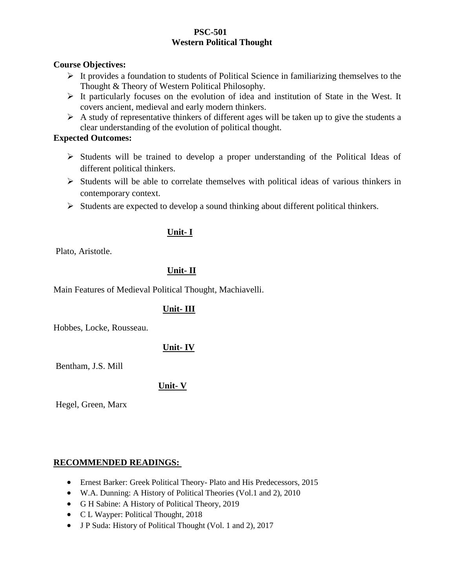#### **PSC-501 Western Political Thought**

#### **Course Objectives:**

- $\triangleright$  It provides a foundation to students of Political Science in familiarizing themselves to the Thought & Theory of Western Political Philosophy.
- $\triangleright$  It particularly focuses on the evolution of idea and institution of State in the West. It covers ancient, medieval and early modern thinkers.
- $\triangleright$  A study of representative thinkers of different ages will be taken up to give the students a clear understanding of the evolution of political thought.

#### **Expected Outcomes:**

- $\triangleright$  Students will be trained to develop a proper understanding of the Political Ideas of different political thinkers.
- $\triangleright$  Students will be able to correlate themselves with political ideas of various thinkers in contemporary context.
- $\triangleright$  Students are expected to develop a sound thinking about different political thinkers.

### **Unit- I**

Plato, Aristotle.

### **Unit- II**

Main Features of Medieval Political Thought, Machiavelli.

### **Unit- III**

Hobbes, Locke, Rousseau.

### **Unit- IV**

Bentham, J.S. Mill

### **Unit- V**

Hegel, Green, Marx

### **RECOMMENDED READINGS:**

- Ernest Barker: Greek Political Theory- Plato and His Predecessors, 2015
- W.A. Dunning: A History of Political Theories (Vol.1 and 2), 2010
- G H Sabine: A History of Political Theory, 2019
- C L Wayper: Political Thought, 2018
- J P Suda: History of Political Thought (Vol. 1 and 2), 2017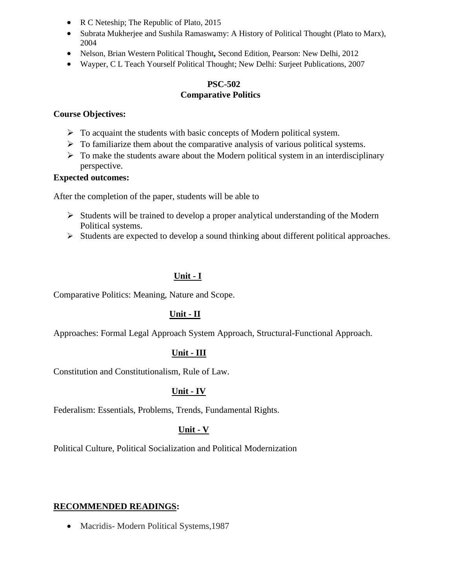- R C Neteship; The Republic of Plato, 2015
- Subrata Mukherjee and Sushila Ramaswamy: A History of Political Thought (Plato to Marx), 2004
- Nelson, Brian Western Political Thought*,* Second Edition, Pearson: New Delhi, 2012
- Wayper, C L Teach Yourself Political Thought; New Delhi: Surjeet Publications, 2007

### **PSC-502 Comparative Politics**

#### **Course Objectives:**

- $\triangleright$  To acquaint the students with basic concepts of Modern political system.
- $\triangleright$  To familiarize them about the comparative analysis of various political systems.
- $\triangleright$  To make the students aware about the Modern political system in an interdisciplinary perspective.

### **Expected outcomes:**

After the completion of the paper, students will be able to

- $\triangleright$  Students will be trained to develop a proper analytical understanding of the Modern Political systems.
- $\triangleright$  Students are expected to develop a sound thinking about different political approaches.

### **Unit - I**

Comparative Politics: Meaning, Nature and Scope.

### **Unit - II**

Approaches: Formal Legal Approach System Approach, Structural-Functional Approach.

### **Unit - III**

Constitution and Constitutionalism, Rule of Law.

### **Unit - IV**

Federalism: Essentials, Problems, Trends, Fundamental Rights.

### **Unit - V**

Political Culture, Political Socialization and Political Modernization

### **RECOMMENDED READINGS:**

• Macridis-Modern Political Systems, 1987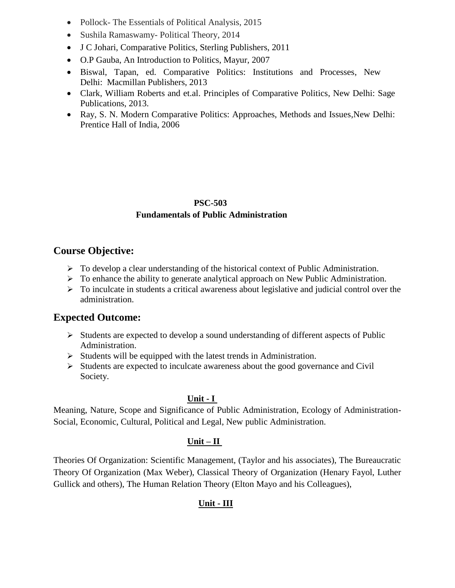- Pollock- The Essentials of Political Analysis, 2015
- Sushila Ramaswamy- Political Theory, 2014
- J C Johari, Comparative Politics, Sterling Publishers, 2011
- O.P Gauba, An Introduction to Politics, Mayur, 2007
- Biswal, Tapan, ed. Comparative Politics: Institutions and Processes, New Delhi: Macmillan Publishers, 2013
- Clark, William Roberts and et.al. Principles of Comparative Politics, New Delhi: Sage Publications, 2013.
- Ray, S. N. Modern Comparative Politics: Approaches, Methods and Issues,New Delhi: Prentice Hall of India, 2006

### **PSC-503 Fundamentals of Public Administration**

# **Course Objective:**

- $\triangleright$  To develop a clear understanding of the historical context of Public Administration.
- $\triangleright$  To enhance the ability to generate analytical approach on New Public Administration.
- $\triangleright$  To inculcate in students a critical awareness about legislative and judicial control over the administration.

# **Expected Outcome:**

- $\triangleright$  Students are expected to develop a sound understanding of different aspects of Public Administration.
- $\triangleright$  Students will be equipped with the latest trends in Administration.
- $\triangleright$  Students are expected to inculcate awareness about the good governance and Civil Society.

### **Unit - I**

Meaning, Nature, Scope and Significance of Public Administration, Ecology of Administration-Social, Economic, Cultural, Political and Legal, New public Administration.

### **Unit – II**

Theories Of Organization: Scientific Management, (Taylor and his associates), The Bureaucratic Theory Of Organization (Max Weber), Classical Theory of Organization (Henary Fayol, Luther Gullick and others), The Human Relation Theory (Elton Mayo and his Colleagues),

# **Unit - III**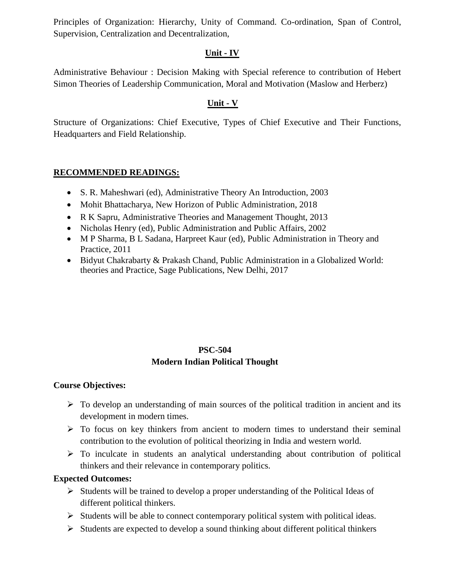Principles of Organization: Hierarchy, Unity of Command. Co-ordination, Span of Control, Supervision, Centralization and Decentralization,

### **Unit - IV**

Administrative Behaviour : Decision Making with Special reference to contribution of Hebert Simon Theories of Leadership Communication, Moral and Motivation (Maslow and Herberz)

### **Unit - V**

Structure of Organizations: Chief Executive, Types of Chief Executive and Their Functions, Headquarters and Field Relationship.

### **RECOMMENDED READINGS:**

- S. R. Maheshwari (ed), Administrative Theory An Introduction, 2003
- Mohit Bhattacharya, New Horizon of Public Administration, 2018
- R K Sapru, Administrative Theories and Management Thought, 2013
- Nicholas Henry (ed), Public Administration and Public Affairs, 2002
- M P Sharma, B L Sadana, Harpreet Kaur (ed), Public Administration in Theory and Practice, 2011
- Bidyut Chakrabarty & Prakash Chand, Public Administration in a Globalized World: theories and Practice, Sage Publications, New Delhi, 2017

### **PSC-504**

### **Modern Indian Political Thought**

### **Course Objectives:**

- $\triangleright$  To develop an understanding of main sources of the political tradition in ancient and its development in modern times.
- $\triangleright$  To focus on key thinkers from ancient to modern times to understand their seminal contribution to the evolution of political theorizing in India and western world.
- $\triangleright$  To inculcate in students an analytical understanding about contribution of political thinkers and their relevance in contemporary politics.

### **Expected Outcomes:**

- $\triangleright$  Students will be trained to develop a proper understanding of the Political Ideas of different political thinkers.
- $\triangleright$  Students will be able to connect contemporary political system with political ideas.
- $\triangleright$  Students are expected to develop a sound thinking about different political thinkers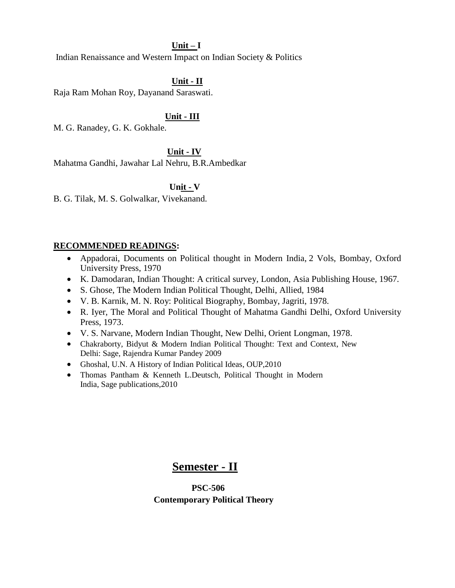#### **Unit – I**

Indian Renaissance and Western Impact on Indian Society & Politics

### **Unit - II**

Raja Ram Mohan Roy, Dayanand Saraswati.

#### **Unit - III**

M. G. Ranadey, G. K. Gokhale.

#### **Unit - IV**

Mahatma Gandhi, Jawahar Lal Nehru, B.R.Ambedkar

#### **Unit - V**

B. G. Tilak, M. S. Golwalkar, Vivekanand.

#### **RECOMMENDED READINGS:**

- Appadorai, Documents on Political thought in Modern India, 2 Vols, Bombay, Oxford University Press, 1970
- K. Damodaran, Indian Thought: A critical survey, London, Asia Publishing House, 1967*.*
- S. Ghose, The Modern Indian Political Thought, Delhi, Allied, 1984
- V. B. Karnik, M. N. Roy: Political Biography, Bombay, Jagriti, 1978.
- R. Iyer, The Moral and Political Thought of Mahatma Gandhi Delhi, Oxford University Press, 1973.
- V. S. Narvane, Modern Indian Thought, New Delhi, Orient Longman, 1978.
- Chakraborty, Bidyut & Modern Indian Political Thought: Text and Context, New Delhi: Sage, Rajendra Kumar Pandey 2009
- Ghoshal, U.N. A History of Indian Political Ideas, OUP,2010
- Thomas Pantham & Kenneth L.Deutsch, Political Thought in Modern India, Sage publications,2010

# **Semester - II**

 **PSC-506 Contemporary Political Theory**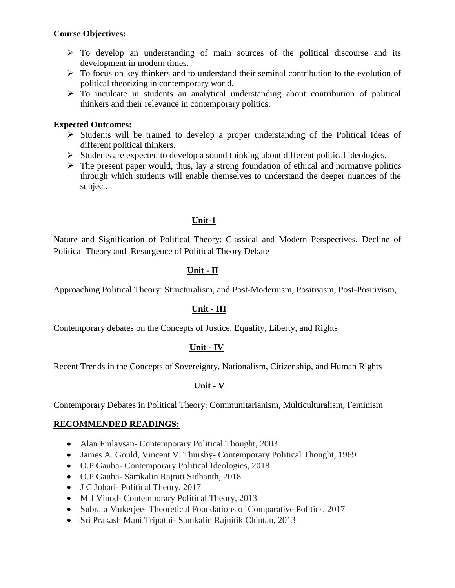#### **Course Objectives:**

- $\triangleright$  To develop an understanding of main sources of the political discourse and its development in modern times.
- $\triangleright$  To focus on key thinkers and to understand their seminal contribution to the evolution of political theorizing in contemporary world.
- $\triangleright$  To inculcate in students an analytical understanding about contribution of political thinkers and their relevance in contemporary politics.

#### **Expected Outcomes:**

- $\triangleright$  Students will be trained to develop a proper understanding of the Political Ideas of different political thinkers.
- $\triangleright$  Students are expected to develop a sound thinking about different political ideologies.
- $\triangleright$  The present paper would, thus, lay a strong foundation of ethical and normative politics through which students will enable themselves to understand the deeper nuances of the subject.

### **Unit-1**

Nature and Signification of Political Theory: Classical and Modern Perspectives, Decline of Political Theory and Resurgence of Political Theory Debate

### **Unit - II**

Approaching Political Theory: Structuralism, and Post-Modernism, Positivism, Post-Positivism,

### **Unit - III**

Contemporary debates on the Concepts of Justice, Equality, Liberty, and Rights

### **Unit - IV**

Recent Trends in the Concepts of Sovereignty, Nationalism, Citizenship, and Human Rights

### **Unit - V**

Contemporary Debates in Political Theory: Communitarianism, Multiculturalism, Feminism

### **RECOMMENDED READINGS:**

- Alan Finlaysan- Contemporary Political Thought, 2003
- James A. Gould, Vincent V. Thursby- Contemporary Political Thought, 1969
- O.P Gauba- Contemporary Political Ideologies, 2018
- O.P Gauba- Samkalin Rajniti Sidhanth, 2018
- J C Johari- Political Theory, 2017
- M J Vinod- Contemporary Political Theory, 2013
- Subrata Mukerjee-Theoretical Foundations of Comparative Politics, 2017
- Sri Prakash Mani Tripathi- Samkalin Rajnitik Chintan, 2013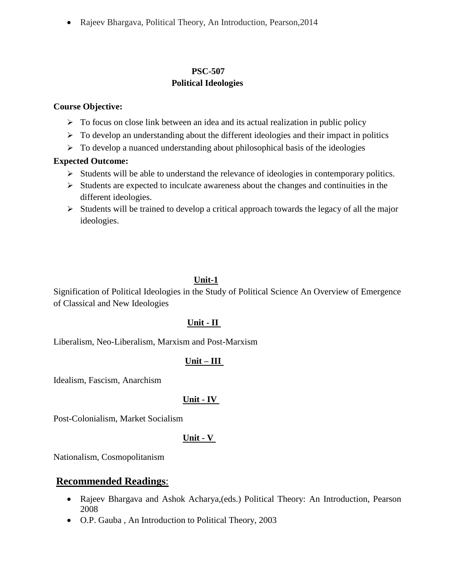Rajeev Bhargava, Political Theory, An Introduction, Pearson,2014

### **PSC-507 Political Ideologies**

#### **Course Objective:**

- $\triangleright$  To focus on close link between an idea and its actual realization in public policy
- $\triangleright$  To develop an understanding about the different ideologies and their impact in politics
- $\triangleright$  To develop a nuanced understanding about philosophical basis of the ideologies

### **Expected Outcome:**

- $\triangleright$  Students will be able to understand the relevance of ideologies in contemporary politics.
- $\triangleright$  Students are expected to inculcate awareness about the changes and continuities in the different ideologies.
- $\triangleright$  Students will be trained to develop a critical approach towards the legacy of all the major ideologies.

### **Unit-1**

Signification of Political Ideologies in the Study of Political Science An Overview of Emergence of Classical and New Ideologies

### **Unit - II**

Liberalism, Neo-Liberalism, Marxism and Post-Marxism

### **Unit – III**

Idealism, Fascism, Anarchism

### **Unit - IV**

Post-Colonialism, Market Socialism

### **Unit - V**

Nationalism, Cosmopolitanism

### **Recommended Readings**:

- Rajeev Bhargava and Ashok Acharya,(eds.) Political Theory: An Introduction, Pearson 2008
- O.P. Gauba , An Introduction to Political Theory, 2003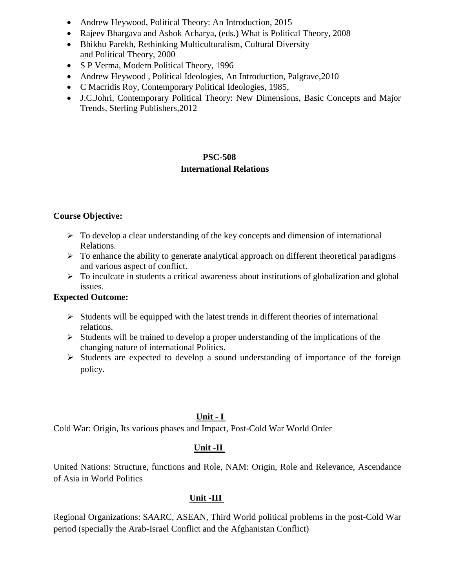- Andrew Heywood, Political Theory: An Introduction, 2015
- Rajeev Bhargava and Ashok Acharya, (eds.) What is Political Theory, 2008
- Bhikhu Parekh, Rethinking Multiculturalism, Cultural Diversity and Political Theory, 2000
- S P Verma, Modern Political Theory, 1996
- Andrew Heywood, Political Ideologies, An Introduction, Palgrave, 2010
- C Macridis Roy, Contemporary Political Ideologies, 1985,
- J.C.Johri, Contemporary Political Theory: New Dimensions, Basic Concepts and Major Trends, Sterling Publishers,2012

# **PSC-508 International Relations**

### **Course Objective:**

- $\triangleright$  To develop a clear understanding of the key concepts and dimension of international Relations.
- $\triangleright$  To enhance the ability to generate analytical approach on different theoretical paradigms and various aspect of conflict.
- $\triangleright$  To inculcate in students a critical awareness about institutions of globalization and global issues.

### **Expected Outcome:**

- $\triangleright$  Students will be equipped with the latest trends in different theories of international relations.
- $\triangleright$  Students will be trained to develop a proper understanding of the implications of the changing nature of international Politics.
- $\triangleright$  Students are expected to develop a sound understanding of importance of the foreign policy.

# **Unit - I**

Cold War: Origin, Its various phases and Impact, Post-Cold War World Order

### **Unit -II**

United Nations: Structure, functions and Role, NAM: Origin, Role and Relevance, Ascendance of Asia in World Politics

### **Unit -III**

Regional Organizations: S*A*ARC, ASEAN, Third World political problems in the post-Cold War period (specially the Arab-Israel Conflict and the Afghanistan Conflict)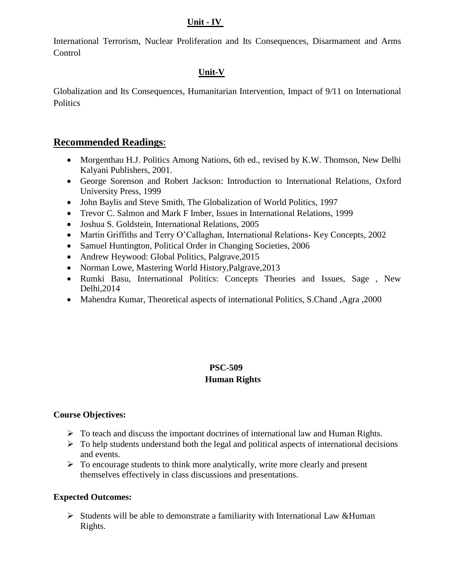### **Unit - IV**

International Terrorism, Nuclear Proliferation and Its Consequences, Disarmament and Arms **Control** 

### **Unit-V**

Globalization and Its Consequences, Humanitarian Intervention, Impact of 9*/*11 on International **Politics** 

# **Recommended Readings**:

- Morgenthau H.J. Politics Among Nations, 6th ed., revised by K.W. Thomson, New Delhi Kalyani Publishers, 2001.
- George Sorenson and Robert Jackson: Introduction to International Relations*,* Oxford University Press, 1999
- John Baylis and Steve Smith, The Globalization of World Politics, 1997
- Trevor C. Salmon and Mark F Imber, Issues in International Relations, 1999
- Joshua S. Goldstein, International Relations, 2005
- Martin Griffiths and Terry O'Callaghan, International Relations- Key Concepts, 2002
- Samuel Huntington, Political Order in Changing Societies, 2006
- Andrew Heywood: Global Politics, Palgrave, 2015
- Norman Lowe, Mastering World History, Palgrave, 2013
- Rumki Basu, International Politics: Concepts Theories and Issues, Sage, New Delhi,2014
- Mahendra Kumar, Theoretical aspects of international Politics, S.Chand ,Agra ,2000

### **PSC-509 Human Rights**

### **Course Objectives:**

- $\triangleright$  To teach and discuss the important doctrines of international law and Human Rights.
- $\triangleright$  To help students understand both the legal and political aspects of international decisions and events.
- $\triangleright$  To encourage students to think more analytically, write more clearly and present themselves effectively in class discussions and presentations.

### **Expected Outcomes:**

 $\triangleright$  Students will be able to demonstrate a familiarity with International Law &Human Rights.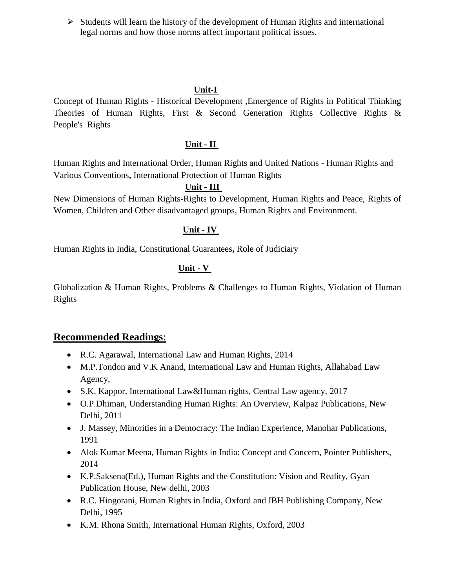$\triangleright$  Students will learn the history of the development of Human Rights and international legal norms and how those norms affect important political issues.

### **Unit-I**

Concept of Human Rights - Historical Development ,Emergence of Rights in Political Thinking Theories of Human Rights, First & Second Generation Rights Collective Rights & People's Rights

#### **Unit - II**

Human Rights and International Order, Human Rights and United Nations - Human Rights and Various Conventions**,** International Protection of Human Rights

### **Unit - III**

New Dimensions of Human Rights-Rights to Development, Human Rights and Peace, Rights of Women, Children and Other disadvantaged groups, Human Rights and Environment.

#### **Unit - IV**

Human Rights in India, Constitutional Guarantees**,** Role of Judiciary

### **Unit - V**

Globalization & Human Rights, Problems & Challenges to Human Rights, Violation of Human Rights

### **Recommended Readings**:

- R.C. Agarawal, International Law and Human Rights, 2014
- M.P.Tondon and V.K Anand, International Law and Human Rights, Allahabad Law Agency,
- S.K. Kappor, International Law&Human rights, Central Law agency, 2017
- O.P.Dhiman, Understanding Human Rights: An Overview, Kalpaz Publications, New Delhi, 2011
- J. Massey, Minorities in a Democracy: The Indian Experience, Manohar Publications, 1991
- Alok Kumar Meena, Human Rights in India: Concept and Concern, Pointer Publishers, 2014
- K.P.Saksena(Ed.), Human Rights and the Constitution: Vision and Reality, Gyan Publication House, New delhi, 2003
- R.C. Hingorani, Human Rights in India, Oxford and IBH Publishing Company, New Delhi, 1995
- K.M. Rhona Smith, International Human Rights, Oxford, 2003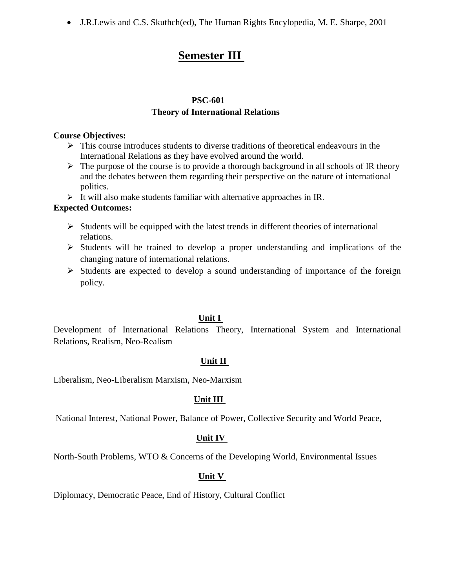J.R.Lewis and C.S. Skuthch(ed), The Human Rights Encylopedia, M. E. Sharpe, 2001

# **Semester III**

#### **PSC-601**

### **Theory of International Relations**

#### **Course Objectives:**

- $\triangleright$  This course introduces students to diverse traditions of theoretical endeavours in the International Relations as they have evolved around the world.
- $\triangleright$  The purpose of the course is to provide a thorough background in all schools of IR theory and the debates between them regarding their perspective on the nature of international politics.
- $\triangleright$  It will also make students familiar with alternative approaches in IR.

### **Expected Outcomes:**

- $\triangleright$  Students will be equipped with the latest trends in different theories of international relations.
- $\triangleright$  Students will be trained to develop a proper understanding and implications of the changing nature of international relations.
- $\triangleright$  Students are expected to develop a sound understanding of importance of the foreign policy.

### **Unit I**

Development of International Relations Theory, International System and International Relations, Realism, Neo-Realism

### **Unit II**

Liberalism, Neo-Liberalism Marxism, Neo-Marxism

### **Unit III**

National Interest, National Power, Balance of Power, Collective Security and World Peace,

### **Unit IV**

North-South Problems, WTO & Concerns of the Developing World, Environmental Issues

### **Unit V**

Diplomacy, Democratic Peace, End of History, Cultural Conflict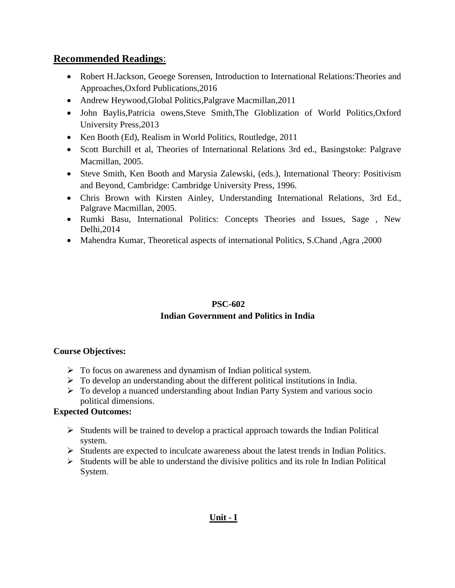# **Recommended Readings**:

- Robert H.Jackson, Geoege Sorensen, Introduction to International Relations: Theories and Approaches,Oxford Publications,2016
- Andrew Heywood, Global Politics, Palgrave Macmillan, 2011
- John Baylis,Patricia owens,Steve Smith,The Globlization of World Politics,Oxford University Press,2013
- Ken Booth (Ed), Realism in World Politics, Routledge, 2011
- Scott Burchill et al, Theories of International Relations 3rd ed., Basingstoke: Palgrave Macmillan, 2005.
- Steve Smith, Ken Booth and Marysia Zalewski, (eds.), International Theory: Positivism and Beyond, Cambridge: Cambridge University Press, 1996.
- Chris Brown with Kirsten Ainley, Understanding International Relations, 3rd Ed., Palgrave Macmillan, 2005.
- Rumki Basu, International Politics: Concepts Theories and Issues, Sage, New Delhi,2014
- Mahendra Kumar, Theoretical aspects of international Politics, S.Chand ,Agra ,2000

### **PSC-602 Indian Government and Politics in India**

### **Course Objectives:**

- $\triangleright$  To focus on awareness and dynamism of Indian political system.
- $\triangleright$  To develop an understanding about the different political institutions in India.
- To develop a nuanced understanding about Indian Party System and various socio political dimensions.

### **Expected Outcomes:**

- $\triangleright$  Students will be trained to develop a practical approach towards the Indian Political system.
- $\triangleright$  Students are expected to inculcate awareness about the latest trends in Indian Politics.
- $\triangleright$  Students will be able to understand the divisive politics and its role In Indian Political System.

### **Unit - I**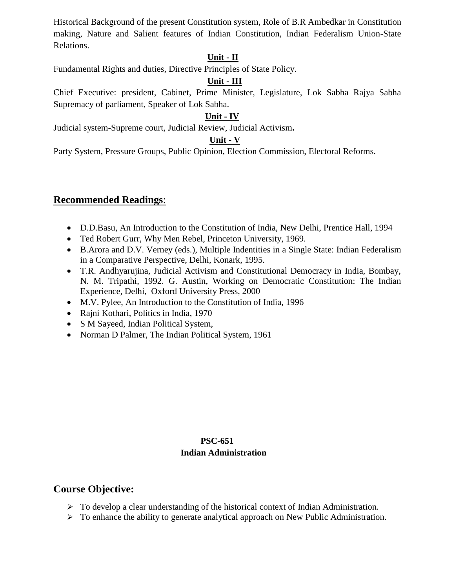Historical Background of the present Constitution system, Role of B.R Ambedkar in Constitution making, Nature and Salient features of Indian Constitution, Indian Federalism Union-State Relations.

### **Unit - II**

Fundamental Rights and duties, Directive Principles of State Policy.

### **Unit - III**

Chief Executive: president, Cabinet, Prime Minister, Legislature, Lok Sabha Rajya Sabha Supremacy of parliament, Speaker of Lok Sabha.

### **Unit - IV**

Judicial system-Supreme court, Judicial Review, Judicial Activism**.** 

### **Unit - V**

Party System, Pressure Groups, Public Opinion, Election Commission, Electoral Reforms.

### **Recommended Readings**:

- D.D.Basu, An Introduction to the Constitution of India, New Delhi, Prentice Hall, 1994
- Ted Robert Gurr, Why Men Rebel, Princeton University, 1969.
- B.Arora and D.V. Verney (eds.), Multiple Indentities in a Single State: Indian Federalism in a Comparative Perspective, Delhi, Konark, 1995.
- T.R. Andhyarujina, Judicial Activism and Constitutional Democracy in India, Bombay, N. M. Tripathi, 1992. G. Austin, Working on Democratic Constitution: The Indian Experience, Delhi, Oxford University Press, 2000
- M.V. Pylee, An Introduction to the Constitution of India, 1996
- Rajni Kothari, Politics in India, 1970
- S M Sayeed, Indian Political System,
- Norman D Palmer, The Indian Political System, 1961

### **PSC-651 Indian Administration**

### **Course Objective:**

- $\triangleright$  To develop a clear understanding of the historical context of Indian Administration.
- To enhance the ability to generate analytical approach on New Public Administration.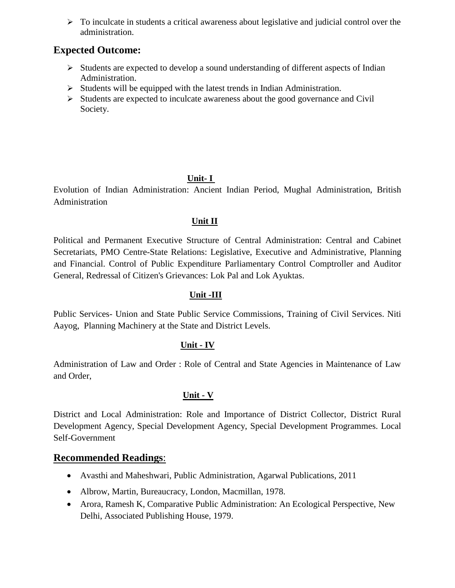$\triangleright$  To inculcate in students a critical awareness about legislative and judicial control over the administration.

### **Expected Outcome:**

- $\triangleright$  Students are expected to develop a sound understanding of different aspects of Indian Administration.
- $\triangleright$  Students will be equipped with the latest trends in Indian Administration.
- $\triangleright$  Students are expected to inculcate awareness about the good governance and Civil Society.

### **Unit- I**

Evolution of Indian Administration: Ancient Indian Period, Mughal Administration, British Administration

### **Unit II**

Political and Permanent Executive Structure of Central Administration: Central and Cabinet Secretariats, PMO Centre-State Relations: Legislative, Executive and Administrative, Planning and Financial. Control of Public Expenditure Parliamentary Control Comptroller and Auditor General, Redressal of Citizen's Grievances: Lok Pal and Lok Ayuktas.

#### **Unit -III**

Public Services- Union and State Public Service Commissions, Training of Civil Services. Niti Aayog, Planning Machinery at the State and District Levels.

### **Unit - IV**

Administration of Law and Order : Role of Central and State Agencies in Maintenance of Law and Order,

### **Unit - V**

District and Local Administration: Role and Importance of District Collector, District Rural Development Agency, Special Development Agency, Special Development Programmes. Local Self-Government

### **Recommended Readings**:

- Avasthi and Maheshwari, Public Administration, Agarwal Publications, 2011
- Albrow, Martin, Bureaucracy, London, Macmillan, 1978.
- Arora, Ramesh K, Comparative Public Administration: An Ecological Perspective, New Delhi, Associated Publishing House, 1979.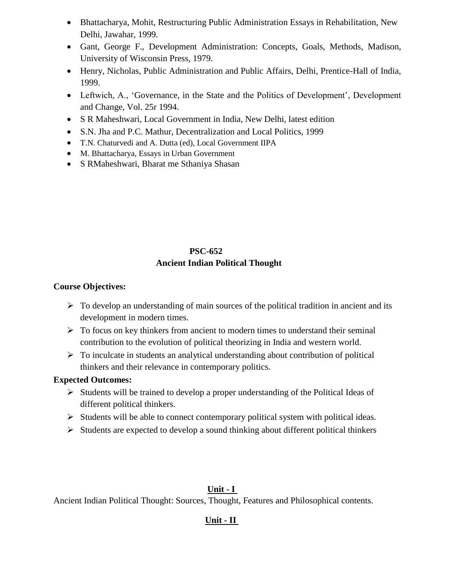- Bhattacharya, Mohit, Restructuring Public Administration Essays in Rehabilitation, New Delhi, Jawahar, 1999.
- Gant, George F., Development Administration: Concepts, Goals, Methods, Madison, University of Wisconsin Press, 1979.
- Henry, Nicholas, Public Administration and Public Affairs, Delhi, Prentice-Hall of India, 1999.
- Leftwich, A., 'Governance, in the State and the Politics of Development', Development and Change, Vol. 25r 1994.
- S R Maheshwari, Local Government in India, New Delhi, latest edition
- S.N. Jha and P.C. Mathur, Decentralization and Local Politics, 1999
- T.N. Chaturvedi and A. Dutta (ed), Local Government IIPA
- M. Bhattacharya, Essays in Urban Government
- S RMaheshwari, Bharat me Sthaniya Shasan

# **PSC-652 Ancient Indian Political Thought**

### **Course Objectives:**

- $\triangleright$  To develop an understanding of main sources of the political tradition in ancient and its development in modern times.
- $\triangleright$  To focus on key thinkers from ancient to modern times to understand their seminal contribution to the evolution of political theorizing in India and western world.
- $\triangleright$  To inculcate in students an analytical understanding about contribution of political thinkers and their relevance in contemporary politics.

### **Expected Outcomes:**

- $\triangleright$  Students will be trained to develop a proper understanding of the Political Ideas of different political thinkers.
- $\triangleright$  Students will be able to connect contemporary political system with political ideas.
- $\triangleright$  Students are expected to develop a sound thinking about different political thinkers

### **Unit - I**

Ancient Indian Political Thought: Sources, Thought, Features and Philosophical contents.

### **Unit - II**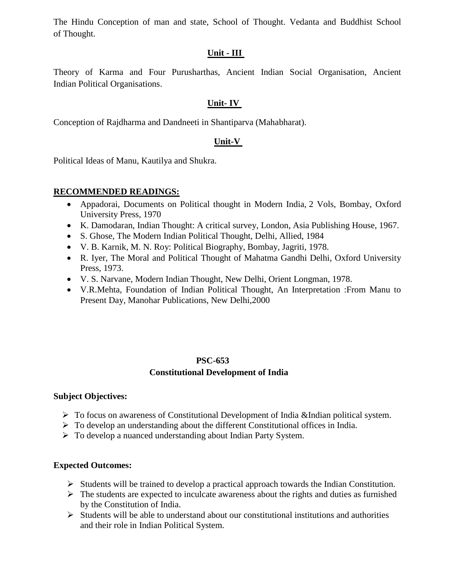The Hindu Conception of man and state, School of Thought. Vedanta and Buddhist School of Thought.

### **Unit - III**

Theory of Karma and Four Purusharthas, Ancient Indian Social Organisation, Ancient Indian Political Organisations.

### **Unit- IV**

Conception of Rajdharma and Dandneeti in Shantiparva (Mahabharat).

### **Unit-V**

Political Ideas of Manu, Kautilya and Shukra.

### **RECOMMENDED READINGS:**

- Appadorai, Documents on Political thought in Modern India, 2 Vols, Bombay, Oxford University Press, 1970
- K. Damodaran, Indian Thought: A critical survey, London, Asia Publishing House, 1967*.*
- S. Ghose, The Modern Indian Political Thought, Delhi, Allied, 1984
- V. B. Karnik, M. N. Roy: Political Biography, Bombay, Jagriti, 1978.
- R. Iyer, The Moral and Political Thought of Mahatma Gandhi Delhi, Oxford University Press, 1973.
- V. S. Narvane, Modern Indian Thought, New Delhi, Orient Longman, 1978.
- V.R.Mehta, Foundation of Indian Political Thought, An Interpretation :From Manu to Present Day, Manohar Publications, New Delhi,2000

### **PSC-653 Constitutional Development of India**

### **Subject Objectives:**

- $\triangleright$  To focus on awareness of Constitutional Development of India &Indian political system.
- $\triangleright$  To develop an understanding about the different Constitutional offices in India.
- To develop a nuanced understanding about Indian Party System.

### **Expected Outcomes:**

- $\triangleright$  Students will be trained to develop a practical approach towards the Indian Constitution.
- $\triangleright$  The students are expected to inculcate awareness about the rights and duties as furnished by the Constitution of India.
- $\triangleright$  Students will be able to understand about our constitutional institutions and authorities and their role in Indian Political System.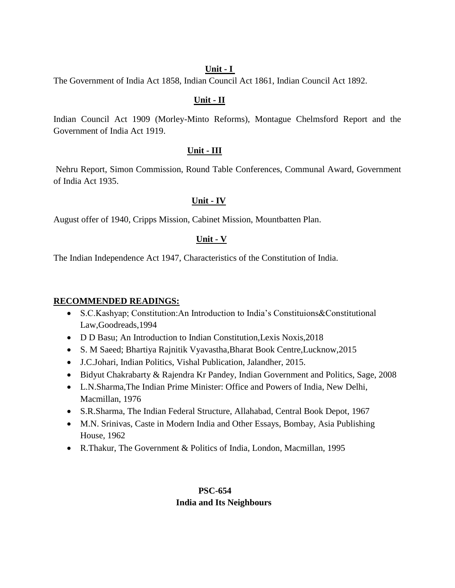#### **Unit - I**

The Government of India Act 1858, Indian Council Act 1861, Indian Council Act 1892.

#### **Unit - II**

Indian Council Act 1909 (Morley-Minto Reforms), Montague Chelmsford Report and the Government of India Act 1919.

### **Unit - III**

Nehru Report, Simon Commission, Round Table Conferences, Communal Award, Government of India Act 1935.

#### **Unit - IV**

August offer of 1940, Cripps Mission, Cabinet Mission, Mountbatten Plan.

#### **Unit - V**

The Indian Independence Act 1947, Characteristics of the Constitution of India.

#### **RECOMMENDED READINGS:**

- S.C.Kashyap; Constitution:An Introduction to India's Constituions&Constitutional Law,Goodreads,1994
- D D Basu; An Introduction to Indian Constitution,Lexis Noxis,2018
- S. M Saeed; Bhartiya Rajnitik Vyavastha,Bharat Book Centre,Lucknow,2015
- J.C.Johari, Indian Politics, Vishal Publication, Jalandher, 2015.
- Bidyut Chakrabarty & Rajendra Kr Pandey, Indian Government and Politics, Sage, 2008
- L.N.Sharma,The Indian Prime Minister: Office and Powers of India, New Delhi, Macmillan, 1976
- S.R.Sharma, The Indian Federal Structure, Allahabad, Central Book Depot, 1967
- M.N. Srinivas, Caste in Modern India and Other Essays, Bombay, Asia Publishing House, 1962
- R.Thakur, The Government & Politics of India, London, Macmillan, 1995

### **PSC-654 India and Its Neighbours**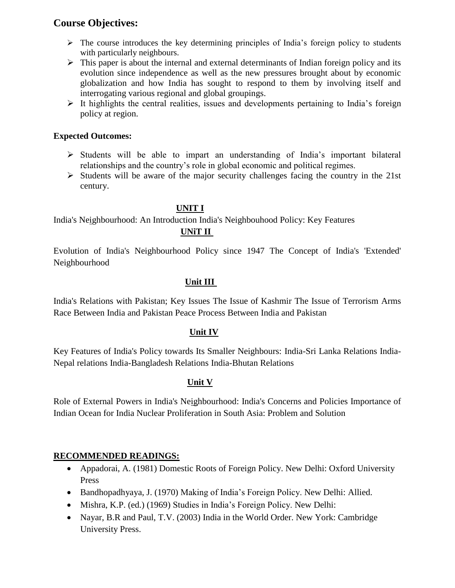# **Course Objectives:**

- $\triangleright$  The course introduces the key determining principles of India's foreign policy to students with particularly neighbours.
- $\triangleright$  This paper is about the internal and external determinants of Indian foreign policy and its evolution since independence as well as the new pressures brought about by economic globalization and how India has sought to respond to them by involving itself and interrogating various regional and global groupings.
- $\triangleright$  It highlights the central realities, issues and developments pertaining to India's foreign policy at region.

### **Expected Outcomes:**

- $\triangleright$  Students will be able to impart an understanding of India's important bilateral relationships and the country's role in global economic and political regimes.
- $\triangleright$  Students will be aware of the major security challenges facing the country in the 21st century.

### **UNIT I**

India's Neighbourhood: An Introduction India's Neighbouhood Policy: Key Features  **UNiT II**

Evolution of India's Neighbourhood Policy since 1947 The Concept of India's 'Extended' Neighbourhood

### **Unit III**

India's Relations with Pakistan; Key Issues The Issue of Kashmir The Issue of Terrorism Arms Race Between India and Pakistan Peace Process Between India and Pakistan

### **Unit IV**

Key Features of India's Policy towards Its Smaller Neighbours: India-Sri Lanka Relations India-Nepal relations India-Bangladesh Relations India-Bhutan Relations

### **Unit V**

Role of External Powers in India's Neighbourhood: India's Concerns and Policies Importance of Indian Ocean for India Nuclear Proliferation in South Asia: Problem and Solution

### **RECOMMENDED READINGS:**

- Appadorai, A. (1981) Domestic Roots of Foreign Policy. New Delhi: Oxford University Press
- Bandhopadhyaya, J. (1970) Making of India's Foreign Policy. New Delhi: Allied.
- Mishra, K.P. (ed.) (1969) Studies in India's Foreign Policy. New Delhi:
- Nayar, B.R and Paul, T.V. (2003) India in the World Order. New York: Cambridge University Press.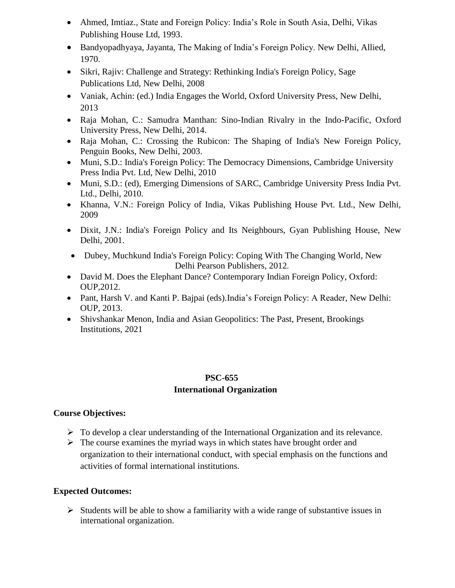- Ahmed, Imtiaz., State and Foreign Policy: India's Role in South Asia, Delhi, Vikas Publishing House Ltd, 1993.
- Bandyopadhyaya, Jayanta, The Making of India's Foreign Policy. New Delhi, Allied, 1970.
- Sikri, Rajiv: Challenge and Strategy: Rethinking India's Foreign Policy, Sage Publications Ltd, New Delhi, 2008
- Vaniak, Achin: (ed.) India Engages the World, Oxford University Press, New Delhi, 2013
- Raja Mohan, C.: Samudra Manthan: Sino-Indian Rivalry in the Indo-Pacific, Oxford University Press, New Delhi, 2014.
- Raja Mohan, C.: Crossing the Rubicon: The Shaping of India's New Foreign Policy, Penguin Books, New Delhi, 2003.
- Muni, S.D.: India's Foreign Policy: The Democracy Dimensions, Cambridge University Press India Pvt. Ltd, New Delhi, 2010
- Muni, S.D.: (ed), Emerging Dimensions of SARC, Cambridge University Press India Pvt. Ltd., Delhi, 2010.
- Khanna, V.N.: Foreign Policy of India, Vikas Publishing House Pvt. Ltd., New Delhi, 2009
- Dixit, J.N.: India's Foreign Policy and Its Neighbours, Gyan Publishing House, New Delhi, 2001.
- Dubey, Muchkund India's Foreign Policy: Coping With The Changing World, New Delhi Pearson Publishers, 2012.
- David M. Does the Elephant Dance? Contemporary Indian Foreign Policy, Oxford: OUP,2012.
- Pant, Harsh V. and Kanti P. Bajpai (eds).India's Foreign Policy: A Reader, New Delhi: OUP, 2013.
- Shivshankar Menon, India and Asian Geopolitics: The Past, Present, Brookings Institutions, 2021

### **PSC-655 International Organization**

### **Course Objectives:**

- $\triangleright$  To develop a clear understanding of the International Organization and its relevance.
- $\triangleright$  The course examines the myriad ways in which states have brought order and organization to their international conduct, with special emphasis on the functions and activities of formal international institutions.

### **Expected Outcomes:**

 $\triangleright$  Students will be able to show a familiarity with a wide range of substantive issues in international organization.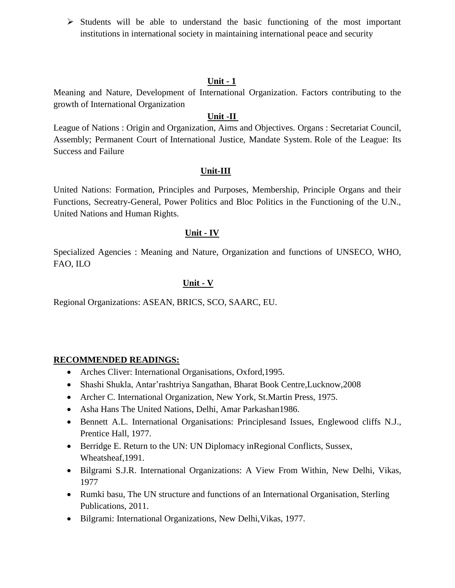$\triangleright$  Students will be able to understand the basic functioning of the most important institutions in international society in maintaining international peace and security

#### **Unit - 1**

Meaning and Nature, Development of International Organization. Factors contributing to the growth of International Organization

### **Unit -II**

League of Nations : Origin and Organization, Aims and Objectives. Organs : Secretariat Council, Assembly; Permanent Court of International Justice, Mandate System. Role of the League: Its Success and Failure

### **Unit-III**

United Nations: Formation, Principles and Purposes, Membership, Principle Organs and their Functions, Secreatry-General, Power Politics and Bloc Politics in the Functioning of the U.N., United Nations and Human Rights.

#### **Unit - IV**

Specialized Agencies : Meaning and Nature, Organization and functions of UNSECO, WHO, FAO, ILO

### **Unit - V**

Regional Organizations: ASEAN, BRICS, SCO, SAARC, EU.

### **RECOMMENDED READINGS:**

- Arches Cliver: International Organisations, Oxford, 1995.
- Shashi Shukla, Antar'rashtriya Sangathan, Bharat Book Centre,Lucknow,2008
- Archer C. International Organization, New York, St.Martin Press, 1975.
- Asha Hans The United Nations, Delhi, Amar Parkashan1986.
- Bennett A.L. International Organisations: Principlesand Issues, Englewood cliffs N.J., Prentice Hall, 1977.
- Berridge E. Return to the UN: UN Diplomacy inRegional Conflicts, Sussex, Wheatsheaf,1991.
- Bilgrami S.J.R. International Organizations: A View From Within, New Delhi, Vikas, 1977
- Rumki basu, The UN structure and functions of an International Organisation, Sterling Publications, 2011.
- Bilgrami: International Organizations, New Delhi,Vikas, 1977.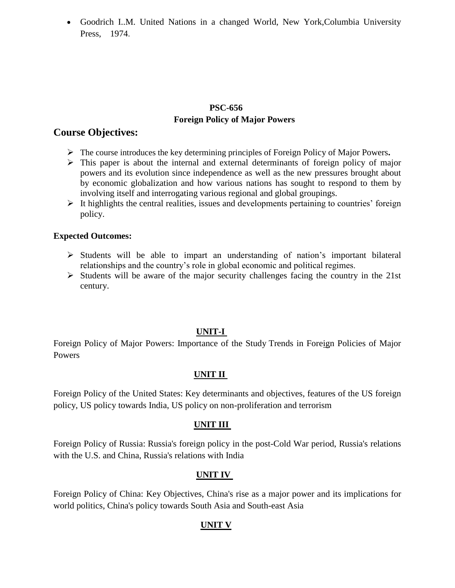Goodrich I..M. United Nations in a changed World, New York,Columbia University Press, 1974.

### **PSC-656 Foreign Policy of Major Powers**

### **Course Objectives:**

- The course introduces the key determining principles of Foreign Policy of Major Powers**.**
- $\triangleright$  This paper is about the internal and external determinants of foreign policy of major powers and its evolution since independence as well as the new pressures brought about by economic globalization and how various nations has sought to respond to them by involving itself and interrogating various regional and global groupings.
- $\triangleright$  It highlights the central realities, issues and developments pertaining to countries' foreign policy.

#### **Expected Outcomes:**

- $\triangleright$  Students will be able to impart an understanding of nation's important bilateral relationships and the country's role in global economic and political regimes.
- $\triangleright$  Students will be aware of the major security challenges facing the country in the 21st century.

### **UNIT-I**

Foreign Policy of Major Powers: Importance of the Study Trends in Foreign Policies of Major Powers

### **UNIT II**

Foreign Policy of the United States: Key determinants and objectives, features of the US foreign policy, US policy towards India, US policy on non-proliferation and terrorism

### **UNIT III**

Foreign Policy of Russia: Russia's foreign policy in the post-Cold War period, Russia's relations with the U.S. and China, Russia's relations with India

### **UNIT IV**

Foreign Policy of China: Key Objectives, China's rise as a major power and its implications for world politics, China's policy towards South Asia and South-east Asia

### **UNIT V**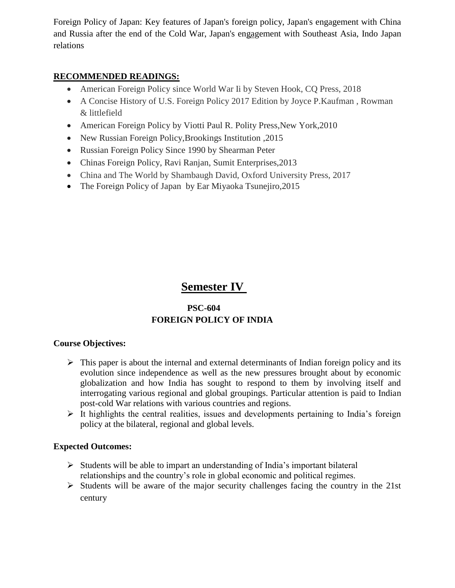Foreign Policy of Japan: Key features of Japan's foreign policy, Japan's engagement with China and Russia after the end of the Cold War, Japan's engagement with Southeast Asia, Indo Japan relations

### **RECOMMENDED READINGS:**

- American Foreign Policy since World War Ii by Steven Hook, CQ Press, 2018
- A Concise History of U.S. Foreign Policy 2017 Edition by Joyce P.Kaufman , Rowman & littlefield
- American Foreign Policy by Viotti Paul R. Polity Press, New York, 2010
- New Russian Foreign Policy, Brookings Institution , 2015
- Russian Foreign Policy Since 1990 by Shearman Peter
- Chinas Foreign Policy, Ravi Ranjan, Sumit Enterprises,2013
- China and The World by Shambaugh David, Oxford University Press, 2017
- The Foreign Policy of Japan by Ear Miyaoka Tsunejiro, 2015

# **Semester IV**

### **PSC-604 FOREIGN POLICY OF INDIA**

### **Course Objectives:**

- $\triangleright$  This paper is about the internal and external determinants of Indian foreign policy and its evolution since independence as well as the new pressures brought about by economic globalization and how India has sought to respond to them by involving itself and interrogating various regional and global groupings. Particular attention is paid to Indian post-cold War relations with various countries and regions.
- $\triangleright$  It highlights the central realities, issues and developments pertaining to India's foreign policy at the bilateral, regional and global levels.

### **Expected Outcomes:**

- $\triangleright$  Students will be able to impart an understanding of India's important bilateral relationships and the country's role in global economic and political regimes.
- $\triangleright$  Students will be aware of the major security challenges facing the country in the 21st century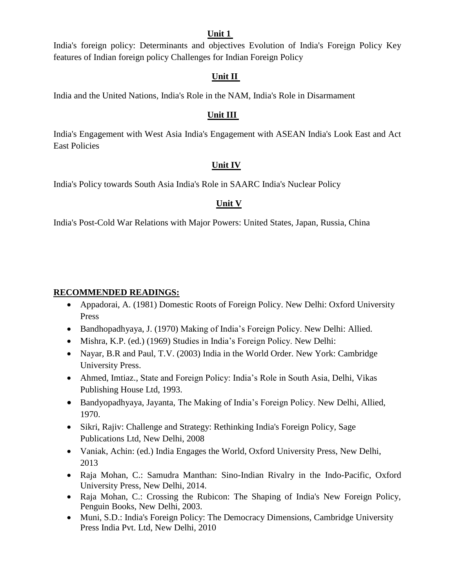#### **Unit 1**

India's foreign policy: Determinants and objectives Evolution of India's Foreign Policy Key features of Indian foreign policy Challenges for Indian Foreign Policy

### **Unit II**

India and the United Nations, India's Role in the NAM, India's Role in Disarmament

### **Unit III**

India's Engagement with West Asia India's Engagement with ASEAN India's Look East and Act East Policies

### **Unit IV**

India's Policy towards South Asia India's Role in SAARC India's Nuclear Policy

### **Unit V**

India's Post-Cold War Relations with Major Powers: United States, Japan, Russia, China

### **RECOMMENDED READINGS:**

- Appadorai, A. (1981) Domestic Roots of Foreign Policy. New Delhi: Oxford University Press
- Bandhopadhyaya, J. (1970) Making of India's Foreign Policy. New Delhi: Allied.
- Mishra, K.P. (ed.) (1969) Studies in India's Foreign Policy. New Delhi:
- Nayar, B.R and Paul, T.V. (2003) India in the World Order. New York: Cambridge University Press.
- Ahmed, Imtiaz., State and Foreign Policy: India's Role in South Asia, Delhi, Vikas Publishing House Ltd, 1993.
- Bandyopadhyaya, Jayanta, The Making of India's Foreign Policy. New Delhi, Allied, 1970.
- Sikri, Rajiv: Challenge and Strategy: Rethinking India's Foreign Policy, Sage Publications Ltd, New Delhi, 2008
- Vaniak, Achin: (ed.) India Engages the World, Oxford University Press, New Delhi, 2013
- Raja Mohan, C.: Samudra Manthan: Sino-Indian Rivalry in the Indo-Pacific, Oxford University Press, New Delhi, 2014.
- Raja Mohan, C.: Crossing the Rubicon: The Shaping of India's New Foreign Policy, Penguin Books, New Delhi, 2003.
- Muni, S.D.: India's Foreign Policy: The Democracy Dimensions, Cambridge University Press India Pvt. Ltd, New Delhi, 2010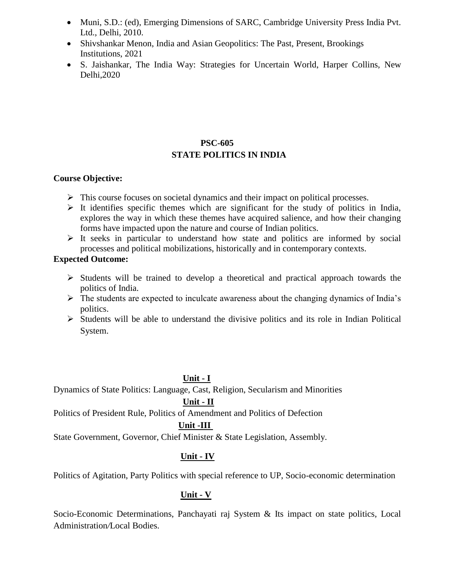- Muni, S.D.: (ed), Emerging Dimensions of SARC, Cambridge University Press India Pvt. Ltd., Delhi, 2010.
- Shivshankar Menon, India and Asian Geopolitics: The Past, Present, Brookings Institutions, 2021
- S. Jaishankar, The India Way: Strategies for Uncertain World, Harper Collins, New Delhi,2020

### **PSC-605 STATE POLITICS IN INDIA**

#### **Course Objective:**

- $\triangleright$  This course focuses on societal dynamics and their impact on political processes.
- $\triangleright$  It identifies specific themes which are significant for the study of politics in India, explores the way in which these themes have acquired salience, and how their changing forms have impacted upon the nature and course of Indian politics.
- $\triangleright$  It seeks in particular to understand how state and politics are informed by social processes and political mobilizations, historically and in contemporary contexts.

#### **Expected Outcome:**

- $\triangleright$  Students will be trained to develop a theoretical and practical approach towards the politics of India.
- $\triangleright$  The students are expected to inculcate awareness about the changing dynamics of India's politics.
- $\triangleright$  Students will be able to understand the divisive politics and its role in Indian Political System.

### **Unit - I**

Dynamics of State Politics: Language, Cast, Religion, Secularism and Minorities

### **Unit - II**

Politics of President Rule, Politics of Amendment and Politics of Defection

### **Unit -III**

State Government, Governor, Chief Minister & State Legislation, Assembly.

### **Unit - IV**

Politics of Agitation, Party Politics with special reference to UP, Socio-economic determination

### **Unit - V**

Socio-Economic Determinations, Panchayati raj System & Its impact on state politics, Local Administration*/*Local Bodies.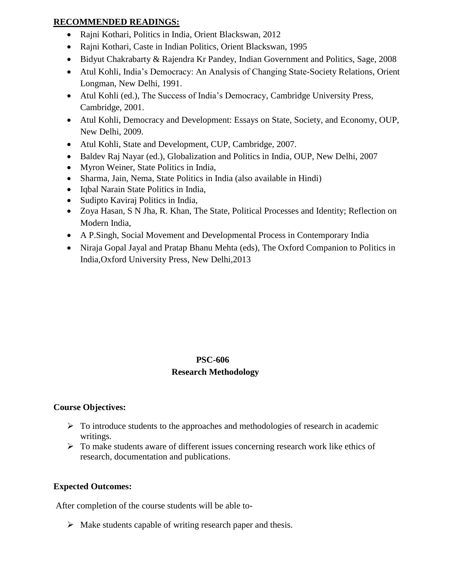### **RECOMMENDED READINGS:**

- Rajni Kothari, Politics in India, Orient Blackswan, 2012
- Rajni Kothari, Caste in Indian Politics, Orient Blackswan, 1995
- Bidyut Chakrabarty & Rajendra Kr Pandey, Indian Government and Politics, Sage, 2008
- Atul Kohli, India's Democracy: An Analysis of Changing State-Society Relations, Orient Longman, New Delhi, 1991.
- Atul Kohli (ed.), The Success of India's Democracy, Cambridge University Press, Cambridge, 2001.
- Atul Kohli, Democracy and Development: Essays on State, Society, and Economy, OUP, New Delhi, 2009.
- Atul Kohli, State and Development, CUP, Cambridge, 2007.
- Baldev Raj Nayar (ed.), Globalization and Politics in India, OUP, New Delhi, 2007
- Myron Weiner, State Politics in India,
- Sharma, Jain, Nema, State Politics in India (also available in Hindi)
- Iqbal Narain State Politics in India,
- Sudipto Kaviraj Politics in India,
- Zoya Hasan, S N Jha, R. Khan, The State, Political Processes and Identity; Reflection on Modern India,
- A P.Singh, Social Movement and Developmental Process in Contemporary India
- Niraja Gopal Jayal and Pratap Bhanu Mehta (eds), The Oxford Companion to Politics in India,Oxford University Press, New Delhi,2013

### **PSC-606 Research Methodology**

### **Course Objectives:**

- $\triangleright$  To introduce students to the approaches and methodologies of research in academic writings.
- $\triangleright$  To make students aware of different issues concerning research work like ethics of research, documentation and publications.

### **Expected Outcomes:**

After completion of the course students will be able to-

 $\triangleright$  Make students capable of writing research paper and thesis.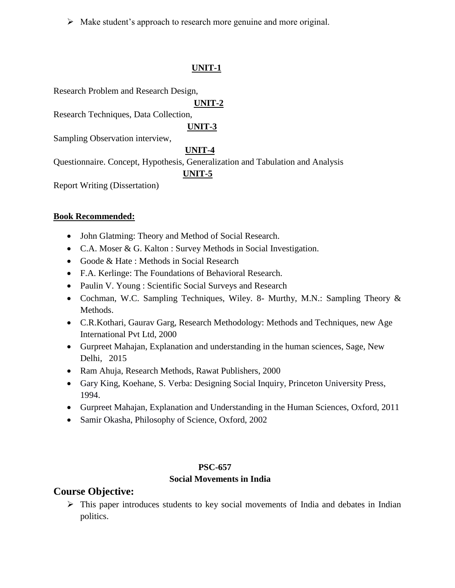Make student's approach to research more genuine and more original.

### **UNIT-1**

Research Problem and Research Design,

 **UNIT-2**

Research Techniques, Data Collection,

 **UNIT-3**

Sampling Observation interview,

### **UNIT-4**

Questionnaire. Concept, Hypothesis, Generalization and Tabulation and Analysis

### **UNIT-5**

Report Writing (Dissertation)

### **Book Recommended:**

- John Glatming: Theory and Method of Social Research.
- C.A. Moser & G. Kalton : Survey Methods in Social Investigation.
- Goode & Hate: Methods in Social Research
- F.A. Kerlinge: The Foundations of Behavioral Research.
- Paulin V. Young : Scientific Social Surveys and Research
- Cochman, W.C. Sampling Techniques, Wiley. 8- Murthy, M.N.: Sampling Theory & Methods.
- C.R.Kothari, Gaurav Garg, Research Methodology: Methods and Techniques, new Age International Pvt Ltd, 2000
- Gurpreet Mahajan, Explanation and understanding in the human sciences, Sage, New Delhi, 2015
- Ram Ahuja, Research Methods, Rawat Publishers, 2000
- Gary King, Koehane, S. Verba: Designing Social Inquiry, Princeton University Press, 1994.
- Gurpreet Mahajan, Explanation and Understanding in the Human Sciences, Oxford, 2011
- Samir Okasha, Philosophy of Science, Oxford, 2002

### **PSC-657**

### **Social Movements in India**

# **Course Objective:**

 $\triangleright$  This paper introduces students to key social movements of India and debates in Indian politics.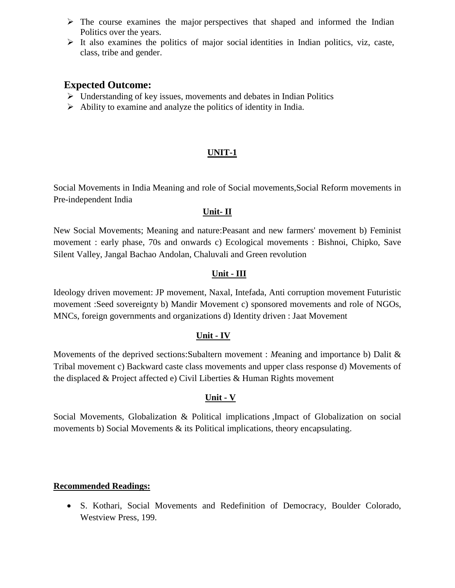- $\triangleright$  The course examines the major perspectives that shaped and informed the Indian Politics over the years.
- $\triangleright$  It also examines the politics of major social identities in Indian politics, viz, caste, class, tribe and gender.

### **Expected Outcome:**

- $\triangleright$  Understanding of key issues, movements and debates in Indian Politics
- $\triangleright$  Ability to examine and analyze the politics of identity in India.

### **UNIT-1**

Social Movements in India Meaning and role of Social movements,Social Reform movements in Pre-independent India

### **Unit- II**

New Social Movements; Meaning and nature:Peasant and new farmers' movement b) Feminist movement : early phase, 70s and onwards c) Ecological movements : Bishnoi, Chipko, Save Silent Valley, Jangal Bachao Andolan, Chaluvali and Green revolution

### **Unit - III**

Ideology driven movement: JP movement, Naxal, Intefada, Anti corruption movement Futuristic movement :Seed sovereignty b) Mandir Movement c) sponsored movements and role of NGOs, MNCs, foreign governments and organizations d) Identity driven : Jaat Movement

### **Unit - IV**

Movements of the deprived sections:Subaltern movement : *M*eaning and importance b) Dalit & Tribal movement c) Backward caste class movements and upper class response d) Movements of the displaced & Project affected e) Civil Liberties & Human Rights movement

### **Unit - V**

Social Movements, Globalization & Political implications ,Impact of Globalization on social movements b) Social Movements & its Political implications, theory encapsulating.

### **Recommended Readings:**

 S. Kothari, Social Movements and Redefinition of Democracy, Boulder Colorado, Westview Press, 199.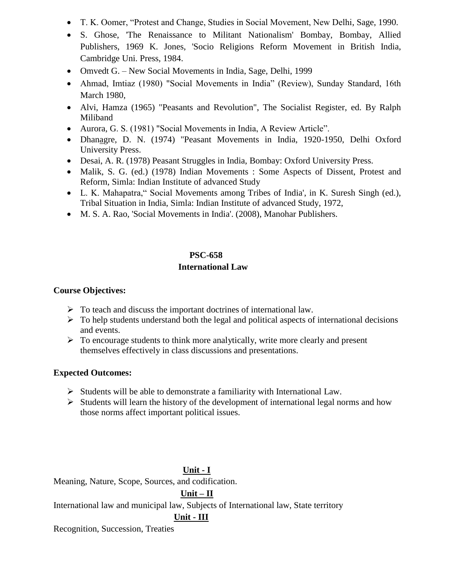- T. K. Oomer, "Protest and Change, Studies in Social Movement, New Delhi, Sage, 1990.
- S. Ghose, 'The Renaissance to Militant Nationalism' Bombay, Bombay, Allied Publishers, 1969 K. Jones, 'Socio Religions Reform Movement in British India, Cambridge Uni. Press, 1984.
- Omvedt G. New Social Movements in India, Sage, Delhi, 1999
- Ahmad, Imtiaz (1980) "Social Movements in India" (Review), Sunday Standard, 16th March 1980,
- Alvi, Hamza (1965) "Peasants and Revolution", The Socialist Register, ed. By Ralph Miliband
- Aurora, G. S. (1981) "Social Movements in India, A Review Article".
- Dhanagre, D. N. (1974) "Peasant Movements in India, 1920-1950, Delhi Oxford University Press.
- Desai, A. R. (1978) Peasant Struggles in India, Bombay: Oxford University Press.
- Malik, S. G. (ed.) (1978) Indian Movements : Some Aspects of Dissent, Protest and Reform, Simla: Indian Institute of advanced Study
- L. K. Mahapatra," Social Movements among Tribes of India', in K. Suresh Singh (ed.), Tribal Situation in India, Simla: Indian Institute of advanced Study, 1972,
- M. S. A. Rao, 'Social Movements in India'. (2008), Manohar Publishers.

# **PSC-658 International Law**

### **Course Objectives:**

- $\triangleright$  To teach and discuss the important doctrines of international law.
- $\triangleright$  To help students understand both the legal and political aspects of international decisions and events.
- $\triangleright$  To encourage students to think more analytically, write more clearly and present themselves effectively in class discussions and presentations.

### **Expected Outcomes:**

- $\triangleright$  Students will be able to demonstrate a familiarity with International Law.
- $\triangleright$  Students will learn the history of the development of international legal norms and how those norms affect important political issues.

### **Unit - I**

Meaning, Nature, Scope, Sources, and codification.

### **Unit – II**

International law and municipal law, Subjects of International law, State territory

### **Unit - III**

Recognition, Succession, Treaties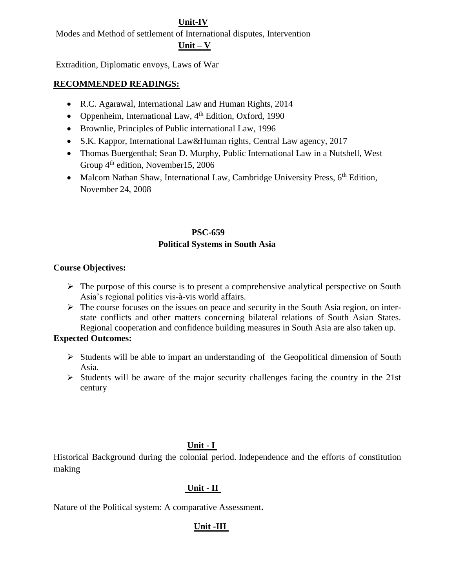### **Unit-IV**

Modes and Method of settlement of International disputes, Intervention

#### **Unit – V**

Extradition, Diplomatic envoys, Laws of War

#### **RECOMMENDED READINGS:**

- R.C. Agarawal, International Law and Human Rights, 2014
- Oppenheim, International Law,  $4<sup>th</sup>$  Edition, Oxford, 1990
- Brownlie, Principles of Public international Law, 1996
- S.K. Kappor, International Law&Human rights, Central Law agency, 2017
- Thomas Buergenthal; Sean D. Murphy, Public International Law in a Nutshell, West Group  $4<sup>th</sup>$  edition, November15, 2006
- Malcom Nathan Shaw, International Law, Cambridge University Press,  $6<sup>th</sup>$  Edition, November 24, 2008

#### **PSC-659**

### **Political Systems in South Asia**

### **Course Objectives:**

- $\triangleright$  The purpose of this course is to present a comprehensive analytical perspective on South Asia's regional politics vis-à-vis world affairs.
- $\triangleright$  The course focuses on the issues on peace and security in the South Asia region, on interstate conflicts and other matters concerning bilateral relations of South Asian States. Regional cooperation and confidence building measures in South Asia are also taken up.

### **Expected Outcomes:**

- $\triangleright$  Students will be able to impart an understanding of the Geopolitical dimension of South Asia.
- $\triangleright$  Students will be aware of the major security challenges facing the country in the 21st century

### **Unit - I**

Historical Background during the colonial period. Independence and the efforts of constitution making

### **Unit - II**

Nature of the Political system: A comparative Assessment**.**

### **Unit -III**